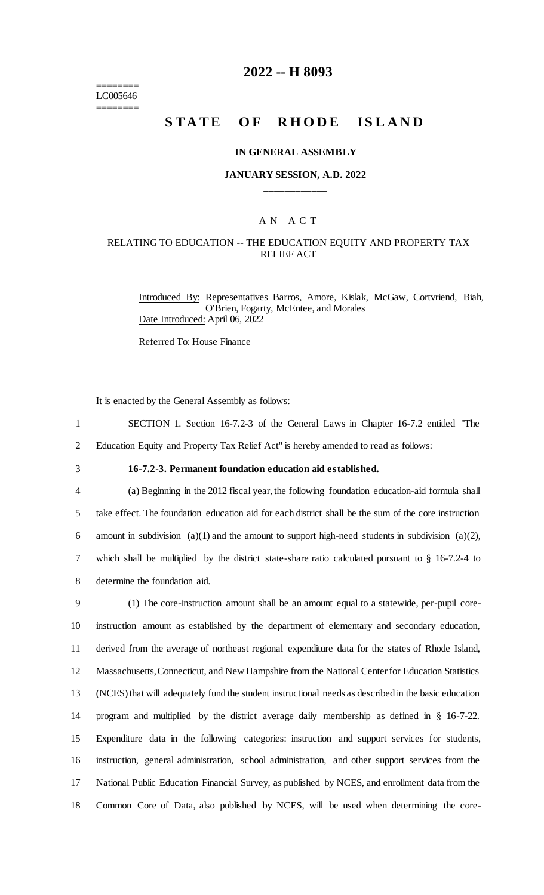======== LC005646 ========

## **2022 -- H 8093**

# **STATE OF RHODE ISLAND**

#### **IN GENERAL ASSEMBLY**

## **JANUARY SESSION, A.D. 2022 \_\_\_\_\_\_\_\_\_\_\_\_**

## A N A C T

#### RELATING TO EDUCATION -- THE EDUCATION EQUITY AND PROPERTY TAX RELIEF ACT

Introduced By: Representatives Barros, Amore, Kislak, McGaw, Cortvriend, Biah, O'Brien, Fogarty, McEntee, and Morales Date Introduced: April 06, 2022

Referred To: House Finance

It is enacted by the General Assembly as follows:

- 1 SECTION 1. Section 16-7.2-3 of the General Laws in Chapter 16-7.2 entitled "The
- 2 Education Equity and Property Tax Relief Act" is hereby amended to read as follows:
- 

3 **16-7.2-3. Permanent foundation education aid established.**

 (a) Beginning in the 2012 fiscal year, the following foundation education-aid formula shall take effect. The foundation education aid for each district shall be the sum of the core instruction 6 amount in subdivision  $(a)(1)$  and the amount to support high-need students in subdivision  $(a)(2)$ , which shall be multiplied by the district state-share ratio calculated pursuant to § 16-7.2-4 to determine the foundation aid.

 (1) The core-instruction amount shall be an amount equal to a statewide, per-pupil core- instruction amount as established by the department of elementary and secondary education, derived from the average of northeast regional expenditure data for the states of Rhode Island, Massachusetts, Connecticut, and New Hampshire from the National Center for Education Statistics (NCES) that will adequately fund the student instructional needs as described in the basic education program and multiplied by the district average daily membership as defined in § 16-7-22. Expenditure data in the following categories: instruction and support services for students, instruction, general administration, school administration, and other support services from the National Public Education Financial Survey, as published by NCES, and enrollment data from the Common Core of Data, also published by NCES, will be used when determining the core-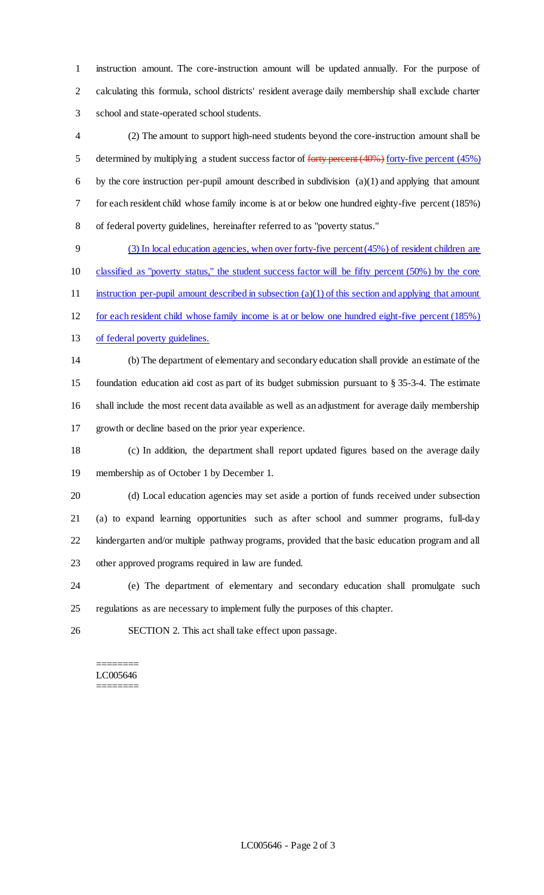instruction amount. The core-instruction amount will be updated annually. For the purpose of calculating this formula, school districts' resident average daily membership shall exclude charter school and state-operated school students.

 (2) The amount to support high-need students beyond the core-instruction amount shall be 5 determined by multiplying a student success factor of forty percent (40%) forty-five percent (45%) 6 by the core instruction per-pupil amount described in subdivision  $(a)(1)$  and applying that amount for each resident child whose family income is at or below one hundred eighty-five percent (185%) of federal poverty guidelines, hereinafter referred to as "poverty status."

 (3) In local education agencies, when over forty-five percent (45%) of resident children are classified as "poverty status," the student success factor will be fifty percent (50%) by the core 11 instruction per-pupil amount described in subsection (a)(1) of this section and applying that amount for each resident child whose family income is at or below one hundred eight-five percent (185%)

of federal poverty guidelines.

 (b) The department of elementary and secondary education shall provide an estimate of the foundation education aid cost as part of its budget submission pursuant to § 35-3-4. The estimate shall include the most recent data available as well as an adjustment for average daily membership growth or decline based on the prior year experience.

 (c) In addition, the department shall report updated figures based on the average daily membership as of October 1 by December 1.

 (d) Local education agencies may set aside a portion of funds received under subsection (a) to expand learning opportunities such as after school and summer programs, full-day kindergarten and/or multiple pathway programs, provided that the basic education program and all other approved programs required in law are funded.

 (e) The department of elementary and secondary education shall promulgate such regulations as are necessary to implement fully the purposes of this chapter.

SECTION 2. This act shall take effect upon passage.

#### ======== LC005646 ========